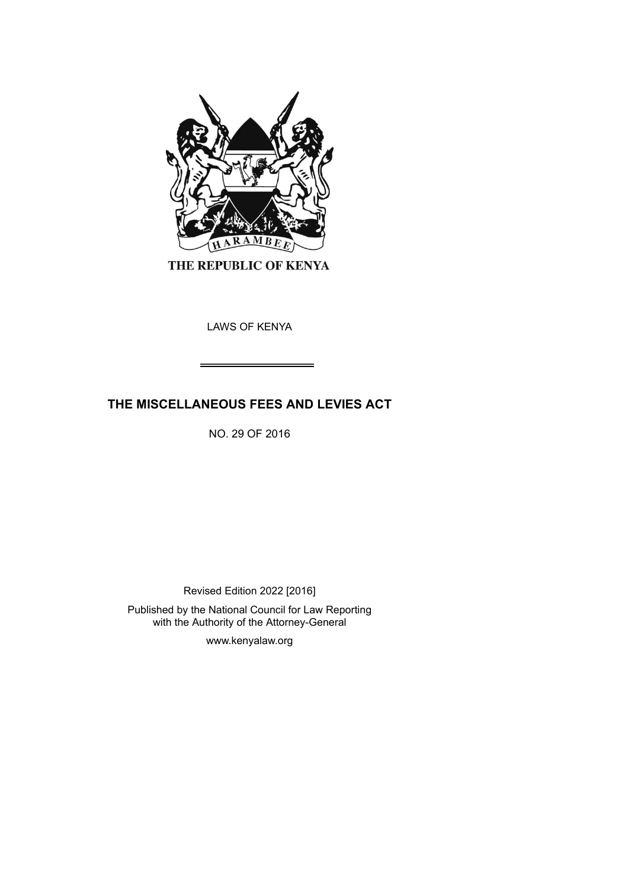

THE REPUBLIC OF KENYA

LAWS OF KENYA

# **THE MISCELLANEOUS FEES AND LEVIES ACT**

NO. 29 OF 2016

Revised Edition 2022 [2016]

Published by the National Council for Law Reporting with the Authority of the Attorney-General

www.kenyalaw.org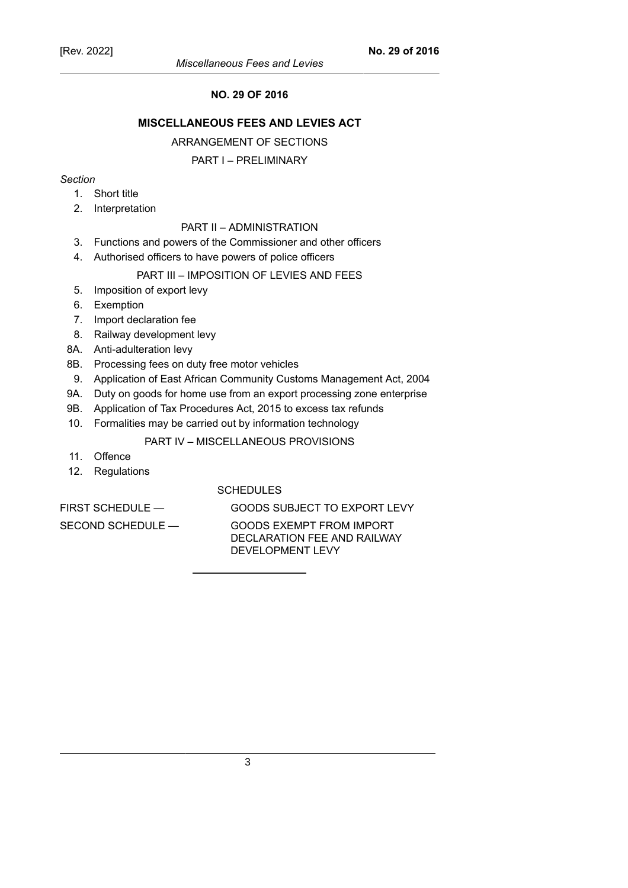## **NO. 29 OF 2016**

## **MISCELLANEOUS FEES AND LEVIES ACT**

### ARRANGEMENT OF SECTIONS

### PART I – PRELIMINARY

## *Section*

- 1. Short title
- 2. Interpretation

## PART II – ADMINISTRATION

- 3. Functions and powers of the Commissioner and other officers
- 4. Authorised officers to have powers of police officers

### PART III – IMPOSITION OF LEVIES AND FEES

- 5. Imposition of export levy
- 6. Exemption
- 7. Import declaration fee
- 8. Railway development levy
- 8A. Anti-adulteration levy
- 8B. Processing fees on duty free motor vehicles
- 9. Application of East African Community Customs Management Act, 2004
- 9A. Duty on goods for home use from an export processing zone enterprise
- 9B. Application of Tax Procedures Act, 2015 to excess tax refunds
- 10. Formalities may be carried out by information technology

## PART IV – MISCELLANEOUS PROVISIONS

- 11. Offence
- 12. Regulations

## **SCHEDULES**

FIRST SCHEDULE — GOODS SUBJECT TO EXPORT LEVY

SECOND SCHEDULE — GOODS EXEMPT FROM IMPORT DECLARATION FEE AND RAILWAY DEVELOPMENT LEVY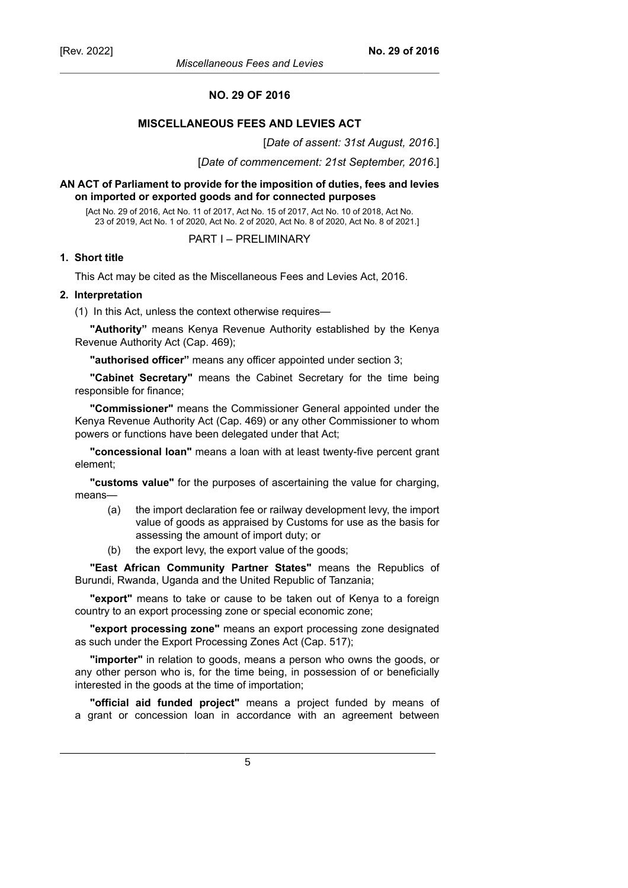#### **NO. 29 OF 2016**

## **MISCELLANEOUS FEES AND LEVIES ACT**

[*Date of assent: 31st August, 2016*.]

[*Date of commencement: 21st September, 2016*.]

### **AN ACT of Parliament to provide for the imposition of duties, fees and levies on imported or exported goods and for connected purposes**

[Act No. 29 of 2016, Act No. 11 of 2017, Act No. 15 of 2017, Act No. 10 of 2018, Act No. 23 of 2019, Act No. 1 of 2020, Act No. 2 of 2020, Act No. 8 of 2020, Act No. 8 of 2021.]

#### PART I – PRELIMINARY

### **1. Short title**

This Act may be cited as the Miscellaneous Fees and Levies Act, 2016.

## **2. Interpretation**

(1) In this Act, unless the context otherwise requires—

**"Authority"** means Kenya Revenue Authority established by the Kenya Revenue Authority Act (Cap. 469);

**"authorised officer"** means any officer appointed under section 3;

**"Cabinet Secretary"** means the Cabinet Secretary for the time being responsible for finance;

**"Commissioner"** means the Commissioner General appointed under the Kenya Revenue Authority Act (Cap. 469) or any other Commissioner to whom powers or functions have been delegated under that Act;

**"concessional loan"** means a loan with at least twenty-five percent grant element;

**"customs value"** for the purposes of ascertaining the value for charging, means—

- (a) the import declaration fee or railway development levy, the import value of goods as appraised by Customs for use as the basis for assessing the amount of import duty; or
- (b) the export levy, the export value of the goods;

**"East African Community Partner States"** means the Republics of Burundi, Rwanda, Uganda and the United Republic of Tanzania;

**"export"** means to take or cause to be taken out of Kenya to a foreign country to an export processing zone or special economic zone;

**"export processing zone"** means an export processing zone designated as such under the Export Processing Zones Act (Cap. 517);

**"importer"** in relation to goods, means a person who owns the goods, or any other person who is, for the time being, in possession of or beneficially interested in the goods at the time of importation;

**"official aid funded project"** means a project funded by means of a grant or concession loan in accordance with an agreement between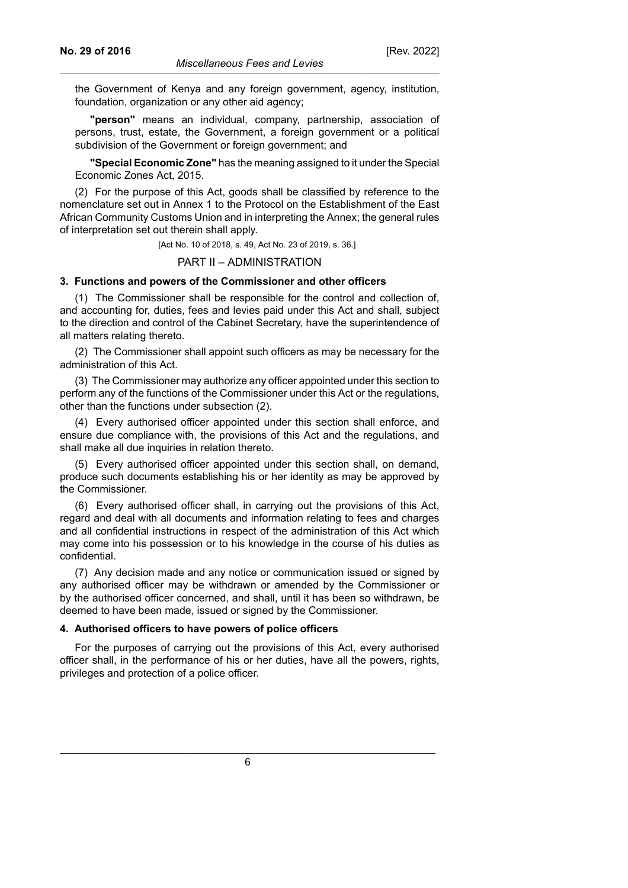the Government of Kenya and any foreign government, agency, institution, foundation, organization or any other aid agency;

**"person"** means an individual, company, partnership, association of persons, trust, estate, the Government, a foreign government or a political subdivision of the Government or foreign government; and

**"Special Economic Zone"** has the meaning assigned to it under the Special Economic Zones Act, 2015.

(2) For the purpose of this Act, goods shall be classified by reference to the nomenclature set out in Annex 1 to the Protocol on the Establishment of the East African Community Customs Union and in interpreting the Annex; the general rules of interpretation set out therein shall apply.

[Act No. 10 of 2018, s. 49, Act No. 23 of 2019, s. 36.]

PART II – ADMINISTRATION

### **3. Functions and powers of the Commissioner and other officers**

(1) The Commissioner shall be responsible for the control and collection of, and accounting for, duties, fees and levies paid under this Act and shall, subject to the direction and control of the Cabinet Secretary, have the superintendence of all matters relating thereto.

(2) The Commissioner shall appoint such officers as may be necessary for the administration of this Act.

(3) The Commissioner may authorize any officer appointed under this section to perform any of the functions of the Commissioner under this Act or the regulations, other than the functions under subsection (2).

(4) Every authorised officer appointed under this section shall enforce, and ensure due compliance with, the provisions of this Act and the regulations, and shall make all due inquiries in relation thereto.

(5) Every authorised officer appointed under this section shall, on demand, produce such documents establishing his or her identity as may be approved by the Commissioner.

(6) Every authorised officer shall, in carrying out the provisions of this Act, regard and deal with all documents and information relating to fees and charges and all confidential instructions in respect of the administration of this Act which may come into his possession or to his knowledge in the course of his duties as confidential.

(7) Any decision made and any notice or communication issued or signed by any authorised officer may be withdrawn or amended by the Commissioner or by the authorised officer concerned, and shall, until it has been so withdrawn, be deemed to have been made, issued or signed by the Commissioner.

#### **4. Authorised officers to have powers of police officers**

For the purposes of carrying out the provisions of this Act, every authorised officer shall, in the performance of his or her duties, have all the powers, rights, privileges and protection of a police officer.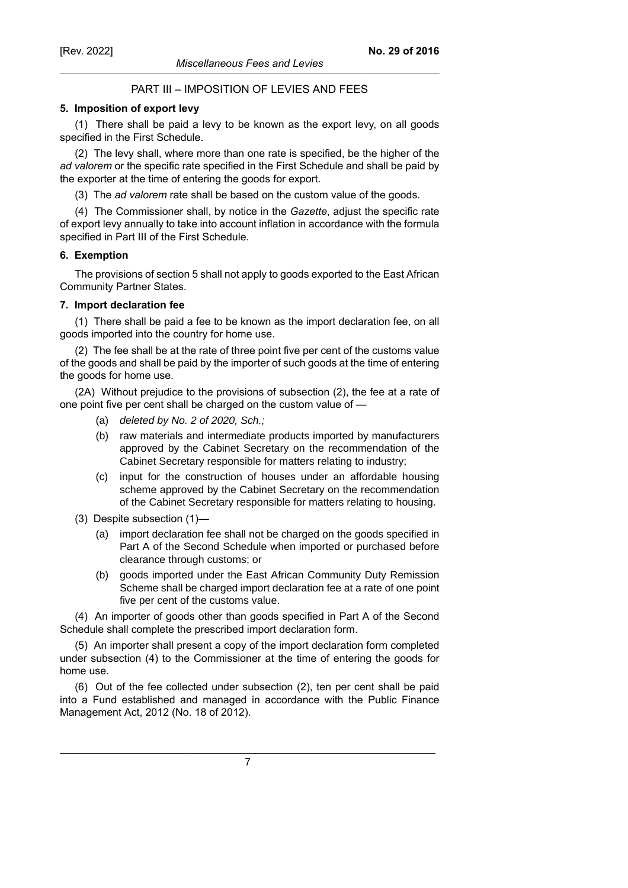## PART III – IMPOSITION OF LEVIES AND FEES

### **5. Imposition of export levy**

(1) There shall be paid a levy to be known as the export levy, on all goods specified in the First Schedule.

(2) The levy shall, where more than one rate is specified, be the higher of the *ad valorem* or the specific rate specified in the First Schedule and shall be paid by the exporter at the time of entering the goods for export.

(3) The *ad valorem* rate shall be based on the custom value of the goods.

(4) The Commissioner shall, by notice in the *Gazette*, adjust the specific rate of export levy annually to take into account inflation in accordance with the formula specified in Part III of the First Schedule.

## **6. Exemption**

The provisions of section 5 shall not apply to goods exported to the East African Community Partner States.

## **7. Import declaration fee**

(1) There shall be paid a fee to be known as the import declaration fee, on all goods imported into the country for home use.

(2) The fee shall be at the rate of three point five per cent of the customs value of the goods and shall be paid by the importer of such goods at the time of entering the goods for home use.

(2A) Without prejudice to the provisions of subsection (2), the fee at a rate of one point five per cent shall be charged on the custom value of —

- (a) deleted by No. 2 of 2020, Sch.;
- (b) raw materials and intermediate products imported by manufacturers approved by the Cabinet Secretary on the recommendation of the Cabinet Secretary responsible for matters relating to industry;
- (c) input for the construction of houses under an affordable housing scheme approved by the Cabinet Secretary on the recommendation of the Cabinet Secretary responsible for matters relating to housing.
- (3) Despite subsection (1)—
	- (a) import declaration fee shall not be charged on the goods specified in Part A of the Second Schedule when imported or purchased before clearance through customs; or
	- (b) goods imported under the East African Community Duty Remission Scheme shall be charged import declaration fee at a rate of one point five per cent of the customs value.

(4) An importer of goods other than goods specified in Part A of the Second Schedule shall complete the prescribed import declaration form.

(5) An importer shall present a copy of the import declaration form completed under subsection (4) to the Commissioner at the time of entering the goods for home use.

(6) Out of the fee collected under subsection (2), ten per cent shall be paid into a Fund established and managed in accordance with the Public Finance Management Act, 2012 (No. 18 of 2012).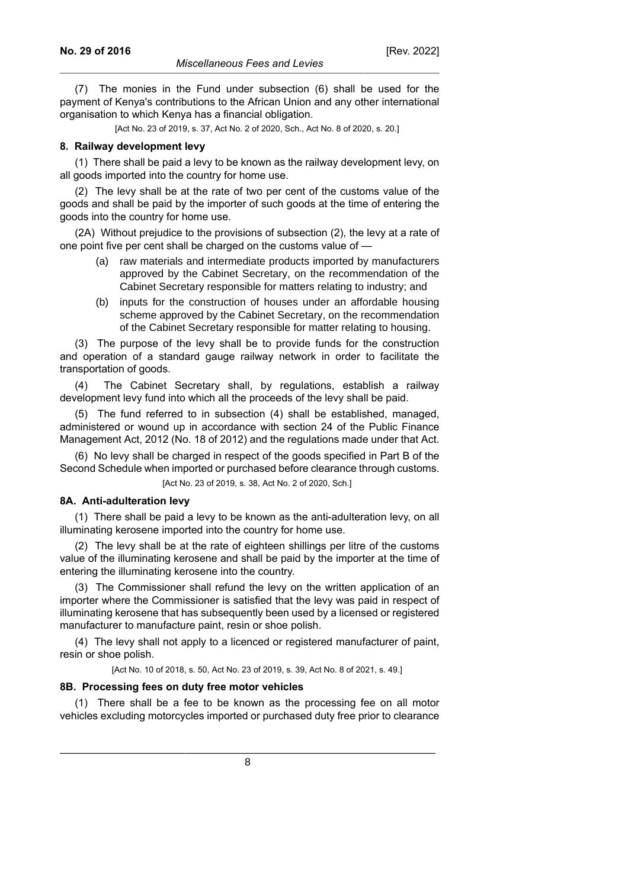[Act No. 23 of 2019, s. 37, Act No. 2 of 2020, Sch., Act No. 8 of 2020, s. 20.]

#### **8. Railway development levy**

(1) There shall be paid a levy to be known as the railway development levy, on all goods imported into the country for home use.

(2) The levy shall be at the rate of two per cent of the customs value of the goods and shall be paid by the importer of such goods at the time of entering the goods into the country for home use.

(2A) Without prejudice to the provisions of subsection (2), the levy at a rate of one point five per cent shall be charged on the customs value of —

- (a) raw materials and intermediate products imported by manufacturers approved by the Cabinet Secretary, on the recommendation of the Cabinet Secretary responsible for matters relating to industry; and
- (b) inputs for the construction of houses under an affordable housing scheme approved by the Cabinet Secretary, on the recommendation of the Cabinet Secretary responsible for matter relating to housing.

(3) The purpose of the levy shall be to provide funds for the construction and operation of a standard gauge railway network in order to facilitate the transportation of goods.

(4) The Cabinet Secretary shall, by regulations, establish a railway development levy fund into which all the proceeds of the levy shall be paid.

(5) The fund referred to in subsection (4) shall be established, managed, administered or wound up in accordance with section 24 of the Public Finance Management Act, 2012 (No. 18 of 2012) and the regulations made under that Act.

(6) No levy shall be charged in respect of the goods specified in Part B of the Second Schedule when imported or purchased before clearance through customs.

[Act No. 23 of 2019, s. 38, Act No. 2 of 2020, Sch.]

#### **8A. Anti-adulteration levy**

(1) There shall be paid a levy to be known as the anti-adulteration levy, on all illuminating kerosene imported into the country for home use.

(2) The levy shall be at the rate of eighteen shillings per litre of the customs value of the illuminating kerosene and shall be paid by the importer at the time of entering the illuminating kerosene into the country.

(3) The Commissioner shall refund the levy on the written application of an importer where the Commissioner is satisfied that the levy was paid in respect of illuminating kerosene that has subsequently been used by a licensed or registered manufacturer to manufacture paint, resin or shoe polish.

(4) The levy shall not apply to a licenced or registered manufacturer of paint, resin or shoe polish.

[Act No. 10 of 2018, s. 50, Act No. 23 of 2019, s. 39, Act No. 8 of 2021, s. 49.]

#### **8B. Processing fees on duty free motor vehicles**

(1) There shall be a fee to be known as the processing fee on all motor vehicles excluding motorcycles imported or purchased duty free prior to clearance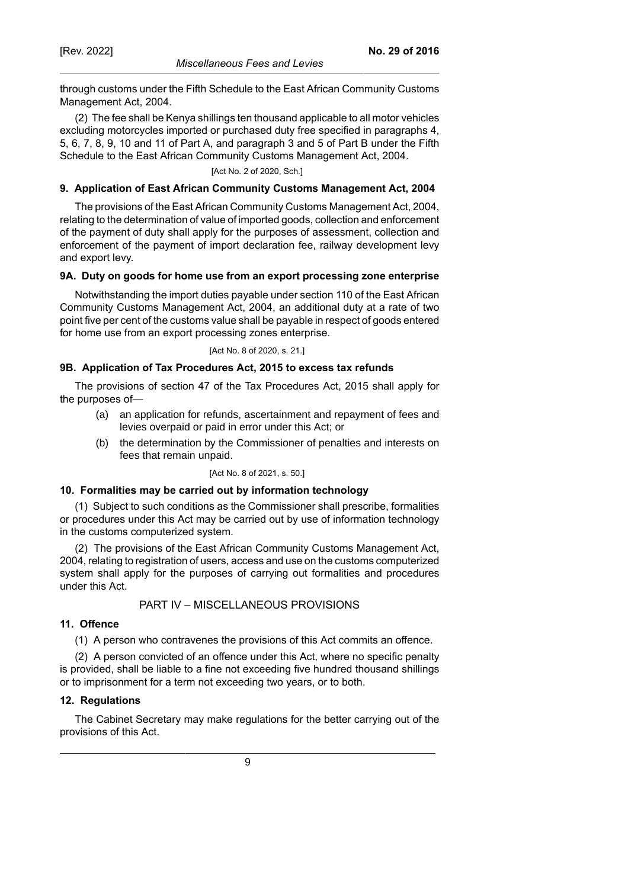through customs under the Fifth Schedule to the East African Community Customs Management Act, 2004.

(2) The fee shall be Kenya shillings ten thousand applicable to all motor vehicles excluding motorcycles imported or purchased duty free specified in paragraphs 4, 5, 6, 7, 8, 9, 10 and 11 of Part A, and paragraph 3 and 5 of Part B under the Fifth Schedule to the East African Community Customs Management Act, 2004.

[Act No. 2 of 2020, Sch.]

#### **9. Application of East African Community Customs Management Act, 2004**

The provisions of the East African Community Customs Management Act, 2004, relating to the determination of value of imported goods, collection and enforcement of the payment of duty shall apply for the purposes of assessment, collection and enforcement of the payment of import declaration fee, railway development levy and export levy.

#### **9A. Duty on goods for home use from an export processing zone enterprise**

Notwithstanding the import duties payable under section 110 of the East African Community Customs Management Act, 2004, an additional duty at a rate of two point five per cent of the customs value shall be payable in respect of goods entered for home use from an export processing zones enterprise.

[Act No. 8 of 2020, s. 21.]

#### **9B. Application of Tax Procedures Act, 2015 to excess tax refunds**

The provisions of section 47 of the Tax Procedures Act, 2015 shall apply for the purposes of—

- (a) an application for refunds, ascertainment and repayment of fees and levies overpaid or paid in error under this Act; or
- (b) the determination by the Commissioner of penalties and interests on fees that remain unpaid.

[Act No. 8 of 2021, s. 50.]

#### **10. Formalities may be carried out by information technology**

(1) Subject to such conditions as the Commissioner shall prescribe, formalities or procedures under this Act may be carried out by use of information technology in the customs computerized system.

(2) The provisions of the East African Community Customs Management Act, 2004, relating to registration of users, access and use on the customs computerized system shall apply for the purposes of carrying out formalities and procedures under this Act.

### PART IV – MISCELLANEOUS PROVISIONS

#### **11. Offence**

(1) A person who contravenes the provisions of this Act commits an offence.

(2) A person convicted of an offence under this Act, where no specific penalty is provided, shall be liable to a fine not exceeding five hundred thousand shillings or to imprisonment for a term not exceeding two years, or to both.

#### **12. Regulations**

The Cabinet Secretary may make regulations for the better carrying out of the provisions of this Act.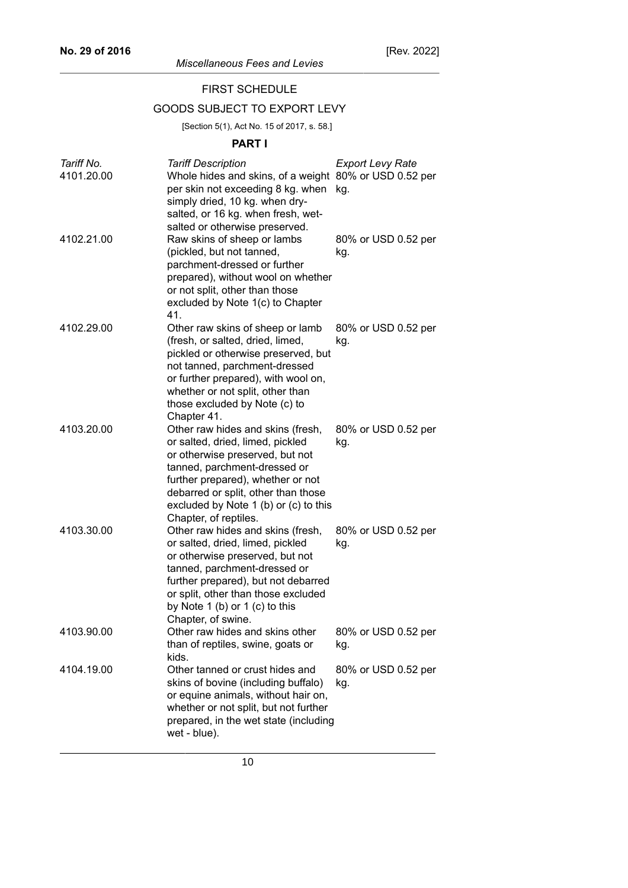## FIRST SCHEDULE

## GOODS SUBJECT TO EXPORT LEVY

[Section 5(1), Act No. 15 of 2017, s. 58.]

## **PART I**

| Tariff No. | <b>Tariff Description</b>                                                                                                                                                                                                                                                              | <b>Export Levy Rate</b>    |
|------------|----------------------------------------------------------------------------------------------------------------------------------------------------------------------------------------------------------------------------------------------------------------------------------------|----------------------------|
| 4101.20.00 | Whole hides and skins, of a weight 80% or USD 0.52 per<br>per skin not exceeding 8 kg. when<br>simply dried, 10 kg. when dry-<br>salted, or 16 kg. when fresh, wet-<br>salted or otherwise preserved.                                                                                  | kg.                        |
| 4102.21.00 | Raw skins of sheep or lambs<br>(pickled, but not tanned,<br>parchment-dressed or further<br>prepared), without wool on whether<br>or not split, other than those<br>excluded by Note 1(c) to Chapter<br>41.                                                                            | 80% or USD 0.52 per<br>kg. |
| 4102.29.00 | Other raw skins of sheep or lamb<br>(fresh, or salted, dried, limed,<br>pickled or otherwise preserved, but<br>not tanned, parchment-dressed<br>or further prepared), with wool on,<br>whether or not split, other than<br>those excluded by Note (c) to<br>Chapter 41.                | 80% or USD 0.52 per<br>kg. |
| 4103.20.00 | Other raw hides and skins (fresh,<br>or salted, dried, limed, pickled<br>or otherwise preserved, but not<br>tanned, parchment-dressed or<br>further prepared), whether or not<br>debarred or split, other than those<br>excluded by Note 1 (b) or (c) to this<br>Chapter, of reptiles. | 80% or USD 0.52 per<br>kg. |
| 4103.30.00 | Other raw hides and skins (fresh,<br>or salted, dried, limed, pickled<br>or otherwise preserved, but not<br>tanned, parchment-dressed or<br>further prepared), but not debarred<br>or split, other than those excluded<br>by Note 1 (b) or 1 (c) to this<br>Chapter, of swine.         | 80% or USD 0.52 per<br>kg. |
| 4103.90.00 | Other raw hides and skins other<br>than of reptiles, swine, goats or<br>kids.                                                                                                                                                                                                          | 80% or USD 0.52 per<br>kg. |
| 4104.19.00 | Other tanned or crust hides and<br>skins of bovine (including buffalo)<br>or equine animals, without hair on,<br>whether or not split, but not further<br>prepared, in the wet state (including<br>wet - blue).                                                                        | 80% or USD 0.52 per<br>kg. |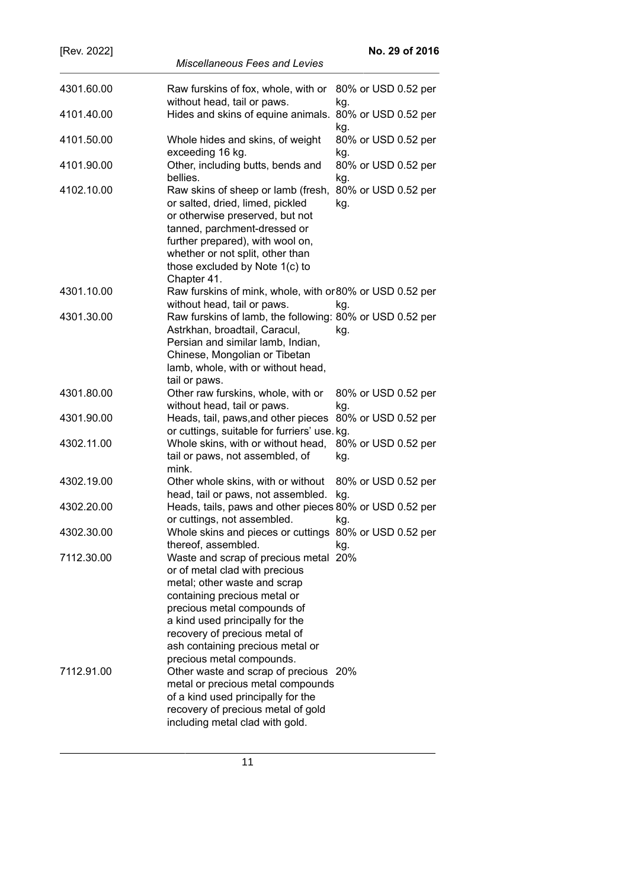| [Rev. 2022] | No. 29 of 2016                                                                                                                                                                                                                                                                                              |
|-------------|-------------------------------------------------------------------------------------------------------------------------------------------------------------------------------------------------------------------------------------------------------------------------------------------------------------|
|             | <b>Miscellaneous Fees and Levies</b>                                                                                                                                                                                                                                                                        |
| 4301.60.00  | Raw furskins of fox, whole, with or<br>80% or USD 0.52 per                                                                                                                                                                                                                                                  |
|             | without head, tail or paws.<br>kg.                                                                                                                                                                                                                                                                          |
| 4101.40.00  | Hides and skins of equine animals.<br>80% or USD 0.52 per<br>kg.                                                                                                                                                                                                                                            |
| 4101.50.00  | Whole hides and skins, of weight<br>80% or USD 0.52 per<br>exceeding 16 kg.<br>kg.                                                                                                                                                                                                                          |
| 4101.90.00  | Other, including butts, bends and<br>80% or USD 0.52 per<br>bellies.<br>kg.                                                                                                                                                                                                                                 |
| 4102.10.00  | Raw skins of sheep or lamb (fresh,<br>80% or USD 0.52 per<br>or salted, dried, limed, pickled<br>kg.<br>or otherwise preserved, but not<br>tanned, parchment-dressed or<br>further prepared), with wool on,<br>whether or not split, other than<br>those excluded by Note 1(c) to<br>Chapter 41.            |
| 4301.10.00  | Raw furskins of mink, whole, with or 80% or USD 0.52 per<br>without head, tail or paws.<br>kg.                                                                                                                                                                                                              |
| 4301.30.00  | Raw furskins of lamb, the following: 80% or USD 0.52 per<br>Astrkhan, broadtail, Caracul,<br>kg.<br>Persian and similar lamb, Indian,<br>Chinese, Mongolian or Tibetan<br>lamb, whole, with or without head,<br>tail or paws.                                                                               |
| 4301.80.00  | Other raw furskins, whole, with or<br>80% or USD 0.52 per<br>without head, tail or paws.<br>kg.                                                                                                                                                                                                             |
| 4301.90.00  | Heads, tail, paws, and other pieces<br>80% or USD 0.52 per<br>or cuttings, suitable for furriers' use. kg.                                                                                                                                                                                                  |
| 4302.11.00  | Whole skins, with or without head,<br>80% or USD 0.52 per<br>tail or paws, not assembled, of<br>kg.<br>mink.                                                                                                                                                                                                |
| 4302.19.00  | Other whole skins, with or without<br>80% or USD 0.52 per<br>head, tail or paws, not assembled.<br>kg.                                                                                                                                                                                                      |
| 4302.20.00  | Heads, tails, paws and other pieces 80% or USD 0.52 per<br>or cuttings, not assembled. kg.                                                                                                                                                                                                                  |
| 4302.30.00  | Whole skins and pieces or cuttings 80% or USD 0.52 per<br>thereof, assembled.<br>kg.                                                                                                                                                                                                                        |
| 7112.30.00  | Waste and scrap of precious metal 20%<br>or of metal clad with precious<br>metal; other waste and scrap<br>containing precious metal or<br>precious metal compounds of<br>a kind used principally for the<br>recovery of precious metal of<br>ash containing precious metal or<br>precious metal compounds. |
| 7112.91.00  | Other waste and scrap of precious 20%<br>metal or precious metal compounds<br>of a kind used principally for the<br>recovery of precious metal of gold<br>including metal clad with gold.                                                                                                                   |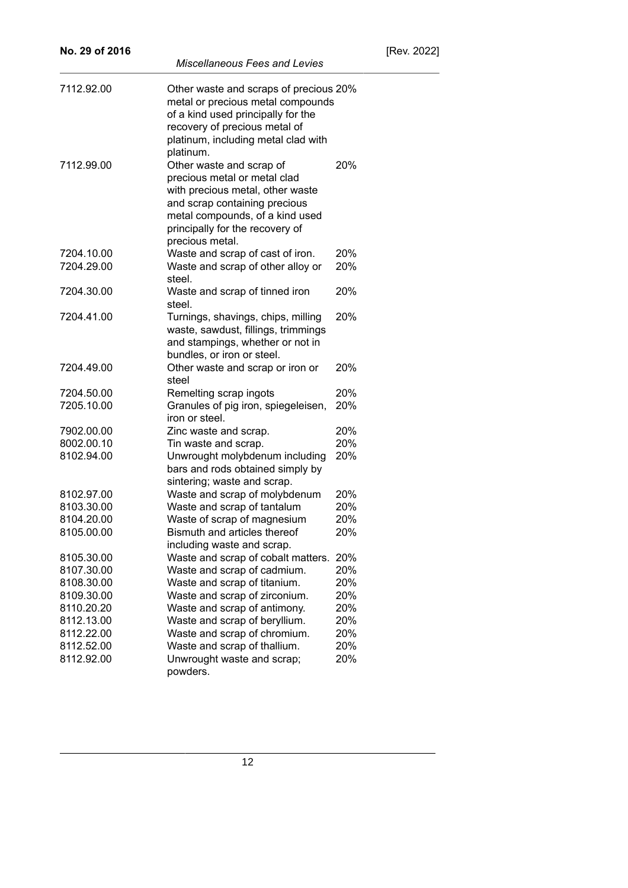| No. 29 of 2016 |                                                                                                                                                                                                                        |     | [Re |
|----------------|------------------------------------------------------------------------------------------------------------------------------------------------------------------------------------------------------------------------|-----|-----|
|                | <b>Miscellaneous Fees and Levies</b>                                                                                                                                                                                   |     |     |
| 7112.92.00     | Other waste and scraps of precious 20%<br>metal or precious metal compounds<br>of a kind used principally for the<br>recovery of precious metal of<br>platinum, including metal clad with<br>platinum.                 |     |     |
| 7112.99.00     | Other waste and scrap of<br>precious metal or metal clad<br>with precious metal, other waste<br>and scrap containing precious<br>metal compounds, of a kind used<br>principally for the recovery of<br>precious metal. | 20% |     |
| 7204.10.00     | Waste and scrap of cast of iron.                                                                                                                                                                                       | 20% |     |
| 7204.29.00     | Waste and scrap of other alloy or<br>steel.                                                                                                                                                                            | 20% |     |
| 7204.30.00     | Waste and scrap of tinned iron<br>steel.                                                                                                                                                                               | 20% |     |
| 7204.41.00     | Turnings, shavings, chips, milling<br>waste, sawdust, fillings, trimmings<br>and stampings, whether or not in<br>bundles, or iron or steel.                                                                            | 20% |     |
| 7204.49.00     | Other waste and scrap or iron or<br>steel                                                                                                                                                                              | 20% |     |
| 7204.50.00     | Remelting scrap ingots                                                                                                                                                                                                 | 20% |     |
| 7205.10.00     | Granules of pig iron, spiegeleisen,<br>iron or steel.                                                                                                                                                                  | 20% |     |
| 7902.00.00     | Zinc waste and scrap.                                                                                                                                                                                                  | 20% |     |
| 8002.00.10     | Tin waste and scrap.                                                                                                                                                                                                   | 20% |     |
| 8102.94.00     | Unwrought molybdenum including<br>bars and rods obtained simply by<br>sintering; waste and scrap.                                                                                                                      | 20% |     |
| 8102.97.00     | Waste and scrap of molybdenum                                                                                                                                                                                          | 20% |     |
| 8103.30.00     | Waste and scrap of tantalum                                                                                                                                                                                            | 20% |     |
| 8104.20.00     | Waste of scrap of magnesium                                                                                                                                                                                            | 20% |     |
| 8105.00.00     | Bismuth and articles thereof<br>including waste and scrap.                                                                                                                                                             | 20% |     |
| 8105.30.00     | Waste and scrap of cobalt matters.                                                                                                                                                                                     | 20% |     |
| 8107.30.00     | Waste and scrap of cadmium.                                                                                                                                                                                            | 20% |     |
| 8108.30.00     | Waste and scrap of titanium.                                                                                                                                                                                           | 20% |     |
| 8109.30.00     | Waste and scrap of zirconium.                                                                                                                                                                                          | 20% |     |
| 8110.20.20     | Waste and scrap of antimony.                                                                                                                                                                                           | 20% |     |
| 8112.13.00     | Waste and scrap of beryllium.                                                                                                                                                                                          | 20% |     |
| 8112.22.00     | Waste and scrap of chromium.                                                                                                                                                                                           | 20% |     |
| 8112.52.00     | Waste and scrap of thallium.                                                                                                                                                                                           | 20% |     |
| 8112.92.00     | Unwrought waste and scrap;<br>powders.                                                                                                                                                                                 | 20% |     |

 $\overline{a}$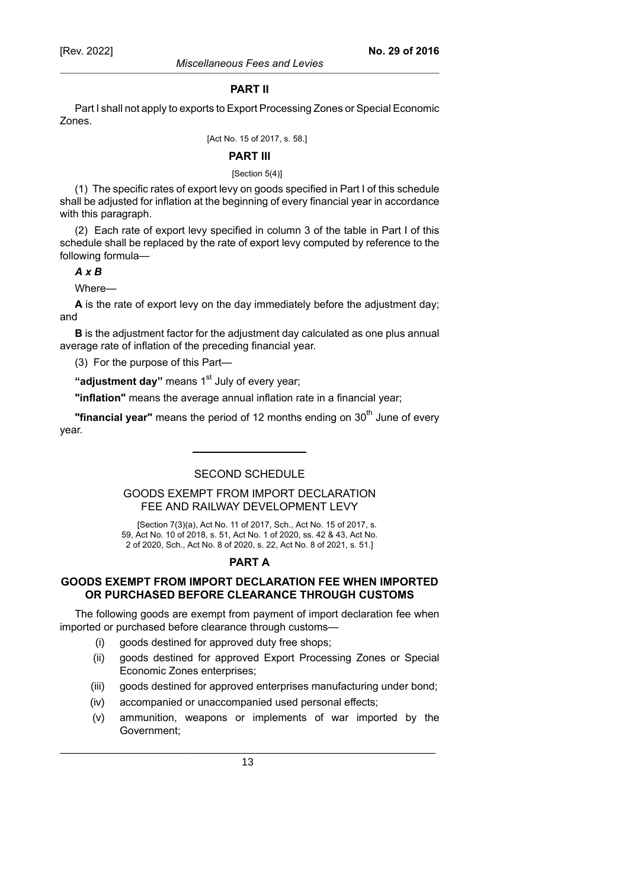#### **PART II**

Part I shall not apply to exports to Export Processing Zones or Special Economic Zones.

[Act No. 15 of 2017, s. 58.]

#### **PART III**

#### [Section 5(4)]

(1) The specific rates of export levy on goods specified in Part I of this schedule shall be adjusted for inflation at the beginning of every financial year in accordance with this paragraph.

(2) Each rate of export levy specified in column 3 of the table in Part I of this schedule shall be replaced by the rate of export levy computed by reference to the following formula—

### *A x B*

Where—

**A** is the rate of export levy on the day immediately before the adjustment day; and

**B** is the adjustment factor for the adjustment day calculated as one plus annual average rate of inflation of the preceding financial year.

(3) For the purpose of this Part—

"**adjustment day**" means 1<sup>st</sup> July of every year;

**"inflation"** means the average annual inflation rate in a financial year;

**"financial year"** means the period of 12 months ending on 30<sup>th</sup> June of every year.

### SECOND SCHEDULE

## GOODS EXEMPT FROM IMPORT DECLARATION FEE AND RAILWAY DEVELOPMENT LEVY

[Section 7(3)(a), Act No. 11 of 2017, Sch., Act No. 15 of 2017, s. 59, Act No. 10 of 2018, s. 51, Act No. 1 of 2020, ss. 42 & 43, Act No. 2 of 2020, Sch., Act No. 8 of 2020, s. 22, Act No. 8 of 2021, s. 51.]

## **PART A**

## **GOODS EXEMPT FROM IMPORT DECLARATION FEE WHEN IMPORTED OR PURCHASED BEFORE CLEARANCE THROUGH CUSTOMS**

The following goods are exempt from payment of import declaration fee when imported or purchased before clearance through customs—

- (i) goods destined for approved duty free shops;
- (ii) goods destined for approved Export Processing Zones or Special Economic Zones enterprises;
- (iii) goods destined for approved enterprises manufacturing under bond;
- (iv) accompanied or unaccompanied used personal effects;
- (v) ammunition, weapons or implements of war imported by the Government;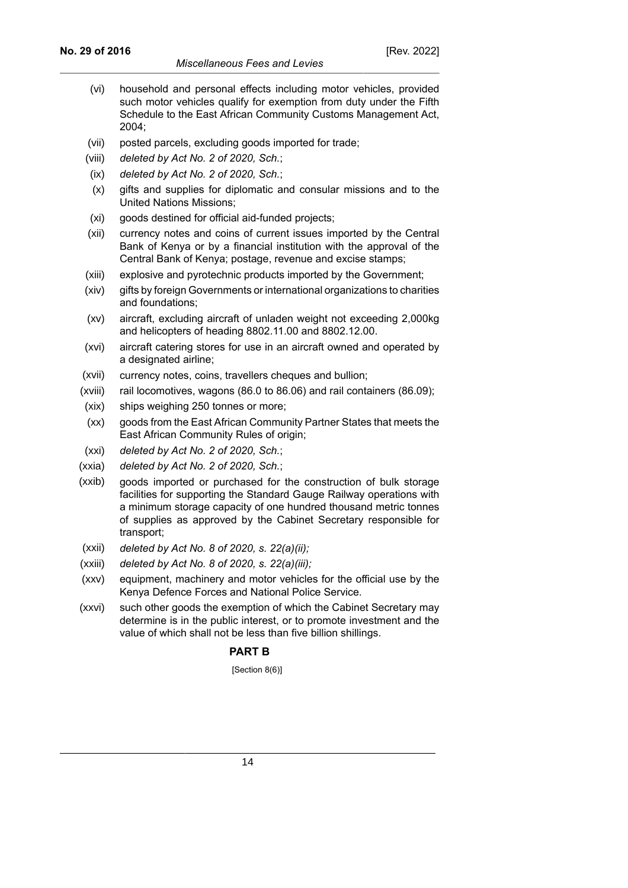- (vi) household and personal effects including motor vehicles, provided such motor vehicles qualify for exemption from duty under the Fifth Schedule to the East African Community Customs Management Act, 2004;
- (vii) posted parcels, excluding goods imported for trade;
- (viii) *deleted by Act No. 2 of 2020, Sch.*;
- (ix) *deleted by Act No. 2 of 2020, Sch.*;
- (x) gifts and supplies for diplomatic and consular missions and to the United Nations Missions;
- (xi) goods destined for official aid-funded projects;
- (xii) currency notes and coins of current issues imported by the Central Bank of Kenya or by a financial institution with the approval of the Central Bank of Kenya; postage, revenue and excise stamps;
- (xiii) explosive and pyrotechnic products imported by the Government;
- (xiv) gifts by foreign Governments or international organizations to charities and foundations;
- (xv) aircraft, excluding aircraft of unladen weight not exceeding 2,000kg and helicopters of heading 8802.11.00 and 8802.12.00.
- (xvi) aircraft catering stores for use in an aircraft owned and operated by a designated airline;
- (xvii) currency notes, coins, travellers cheques and bullion;
- (xviii) rail locomotives, wagons (86.0 to 86.06) and rail containers (86.09);
- (xix) ships weighing 250 tonnes or more;
- (xx) goods from the East African Community Partner States that meets the East African Community Rules of origin;
- (xxi) *deleted by Act No. 2 of 2020, Sch.*;
- (xxia) *deleted by Act No. 2 of 2020, Sch.*;
- (xxib) goods imported or purchased for the construction of bulk storage facilities for supporting the Standard Gauge Railway operations with a minimum storage capacity of one hundred thousand metric tonnes of supplies as approved by the Cabinet Secretary responsible for transport;
- (xxii) *deleted by Act No. 8 of 2020, s. 22(a)(ii);*
- (xxiii) *deleted by Act No. 8 of 2020, s. 22(a)(iii);*
- (xxv) equipment, machinery and motor vehicles for the official use by the Kenya Defence Forces and National Police Service.
- (xxvi) such other goods the exemption of which the Cabinet Secretary may determine is in the public interest, or to promote investment and the value of which shall not be less than five billion shillings.

## **PART B**

[Section 8(6)]